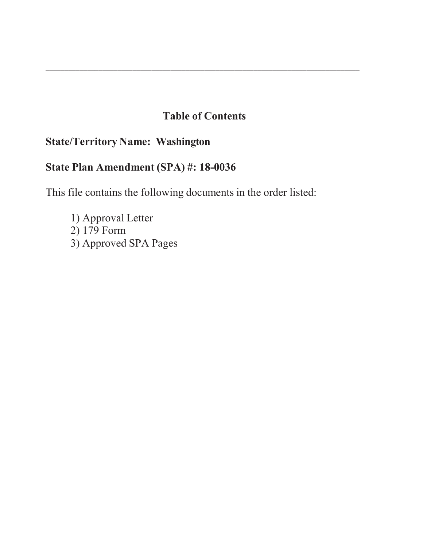# **Table of Contents**

\_\_\_\_\_\_\_\_\_\_\_\_\_\_\_\_\_\_\_\_\_\_\_\_\_\_\_\_\_\_\_\_\_\_\_\_\_\_\_\_\_\_\_\_\_\_\_\_\_\_\_\_\_\_\_\_\_\_\_\_\_\_\_\_\_\_\_\_\_\_\_\_\_\_\_\_\_\_\_\_\_\_\_

# **State/Territory Name: Washington**

# **State Plan Amendment (SPA) #: 18-0036**

This file contains the following documents in the order listed:

1) Approval Letter 2) 179 Form 3) Approved SPA Pages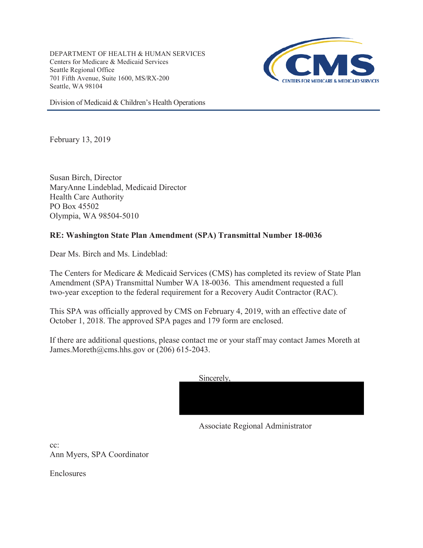DEPARTMENT OF HEALTH & HUMAN SERVICES Centers for Medicare & Medicaid Services Seattle Regional Office 701 Fifth Avenue, Suite 1600, MS/RX-200 Seattle, WA 98104



Division of Medicaid & Children's Health Operations

February 13, 2019

Susan Birch, Director MaryAnne Lindeblad, Medicaid Director Health Care Authority PO Box 45502 Olympia, WA 98504-5010

## **RE: Washington State Plan Amendment (SPA) Transmittal Number 18-0036**

Dear Ms. Birch and Ms. Lindeblad:

The Centers for Medicare & Medicaid Services (CMS) has completed its review of State Plan Amendment (SPA) Transmittal Number WA 18-0036. This amendment requested a full two-year exception to the federal requirement for a Recovery Audit Contractor (RAC).

This SPA was officially approved by CMS on February 4, 2019, with an effective date of October 1, 2018. The approved SPA pages and 179 form are enclosed.

If there are additional questions, please contact me or your staff may contact James Moreth at James.Moreth@cms.hhs.gov or  $(206)$  615-2043.

| Sincerely, |  |  |
|------------|--|--|
|            |  |  |
|            |  |  |
|            |  |  |

Associate Regional Administrator

cc: Ann Myers, SPA Coordinator

Enclosures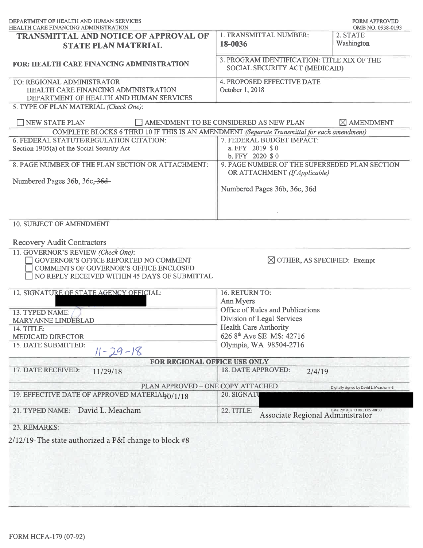| DEPARTMENT OF HEALTH AND HUMAN SERVICES<br>HEALTH CARE FINANCING ADMINISTRATION                                                                                                      |                                                                                | <b>FORM APPROVED</b><br>OMB NO. 0938-0193 |
|--------------------------------------------------------------------------------------------------------------------------------------------------------------------------------------|--------------------------------------------------------------------------------|-------------------------------------------|
| TRANSMITTAL AND NOTICE OF APPROVAL OF<br><b>STATE PLAN MATERIAL</b>                                                                                                                  | 1. TRANSMITTAL NUMBER:<br>18-0036                                              | 2. STATE<br>Washington                    |
| <b>FOR: HEALTH CARE FINANCING ADMINISTRATION</b>                                                                                                                                     | 3. PROGRAM IDENTIFICATION: TITLE XIX OF THE<br>SOCIAL SECURITY ACT (MEDICAID)  |                                           |
| TO: REGIONAL ADMINISTRATOR<br>HEALTH CARE FINANCING ADMINISTRATION<br>DEPARTMENT OF HEALTH AND HUMAN SERVICES                                                                        | 4. PROPOSED EFFECTIVE DATE<br>October 1, 2018                                  |                                           |
| 5. TYPE OF PLAN MATERIAL (Check One):                                                                                                                                                |                                                                                |                                           |
| NEW STATE PLAN                                                                                                                                                                       | AMENDMENT TO BE CONSIDERED AS NEW PLAN                                         | $\boxtimes$ AMENDMENT                     |
| COMPLETE BLOCKS 6 THRU 10 IF THIS IS AN AMENDMENT (Separate Transmittal for each amendment)<br>6. FEDERAL STATUTE/REGULATION CITATION:<br>Section 1905(a) of the Social Security Act | 7. FEDERAL BUDGET IMPACT:<br>a. FFY 2019 \$ 0<br>b. $FFY$ 2020 \$ 0            |                                           |
| 8. PAGE NUMBER OF THE PLAN SECTION OR ATTACHMENT:                                                                                                                                    | 9. PAGE NUMBER OF THE SUPERSEDED PLAN SECTION<br>OR ATTACHMENT (If Applicable) |                                           |
| Numbered Pages 36b, 36c, 36d                                                                                                                                                         | Numbered Pages 36b, 36c, 36d                                                   |                                           |
| 10. SUBJECT OF AMENDMENT<br><b>Recovery Audit Contractors</b>                                                                                                                        |                                                                                |                                           |
| 11. GOVERNOR'S REVIEW (Check One):<br>GOVERNOR'S OFFICE REPORTED NO COMMENT<br>COMMENTS OF GOVERNOR'S OFFICE ENCLOSED<br>NO REPLY RECEIVED WITHIN 45 DAYS OF SUBMITTAL               | $\boxtimes$ OTHER, AS SPECIFIED: Exempt                                        |                                           |
| 12. SIGNATURE OF STATE AGENCY OFFICIAL:                                                                                                                                              | 16. RETURN TO:                                                                 |                                           |
|                                                                                                                                                                                      | Ann Myers                                                                      |                                           |
| 13. TYPED NAME:                                                                                                                                                                      | Office of Rules and Publications                                               |                                           |
| MARYANNE LINDEBLAD                                                                                                                                                                   | Division of Legal Services                                                     |                                           |
| 14. TITLE:                                                                                                                                                                           | <b>Health Care Authority</b>                                                   |                                           |
| MEDICAID DIRECTOR<br>15. DATE SUBMITTED:<br>$11 - 29 - 18$                                                                                                                           | 626 8 <sup>th</sup> Ave SE MS: 42716<br>Olympia, WA 98504-2716                 |                                           |
| FOR REGIONAL OFFICE USE ONLY                                                                                                                                                         |                                                                                |                                           |
| 17. DATE RECEIVED:<br>11/29/18                                                                                                                                                       | 18. DATE APPROVED:<br>2/4/19                                                   |                                           |
| PLAN APPROVED - ONE COPY ATTACHED                                                                                                                                                    |                                                                                | Digitally signed by David L. Meacham -S   |
| 19. EFFECTIVE DATE OF APPROVED MATERIALO / 1/18                                                                                                                                      | 20. SIGNATU                                                                    |                                           |
|                                                                                                                                                                                      | 22. TITLE:<br>Associate Regional Administrator                                 | Date: 2019.02.13 08:51:05 -08'00'         |
| David L. Meacham<br>21. TYPED NAME:                                                                                                                                                  |                                                                                |                                           |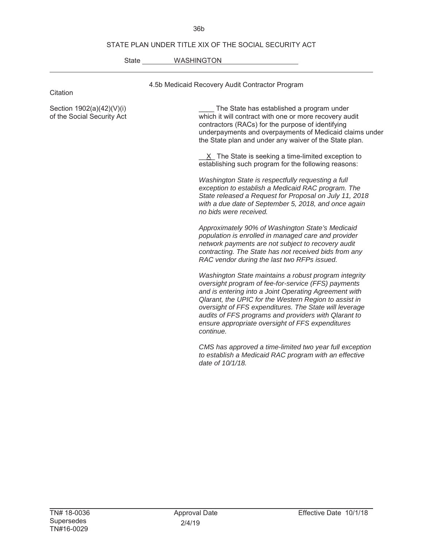### STATE PLAN UNDER TITLE XIX OF THE SOCIAL SECURITY ACT

36b

| State | <b>WASHINGTON</b> |
|-------|-------------------|
|       |                   |

| Citation                                                | 4.5b Medicaid Recovery Audit Contractor Program                                                                                                                                                                                                                                                                                                                                                                                                                                                                                                                                                                                                                                                                                                                                                                                                                                                                                                                                                                                                |
|---------------------------------------------------------|------------------------------------------------------------------------------------------------------------------------------------------------------------------------------------------------------------------------------------------------------------------------------------------------------------------------------------------------------------------------------------------------------------------------------------------------------------------------------------------------------------------------------------------------------------------------------------------------------------------------------------------------------------------------------------------------------------------------------------------------------------------------------------------------------------------------------------------------------------------------------------------------------------------------------------------------------------------------------------------------------------------------------------------------|
| Section 1902(a)(42)(V)(i)<br>of the Social Security Act | The State has established a program under<br>which it will contract with one or more recovery audit<br>contractors (RACs) for the purpose of identifying<br>underpayments and overpayments of Medicaid claims under<br>the State plan and under any waiver of the State plan.<br>$X$ The State is seeking a time-limited exception to<br>establishing such program for the following reasons:<br>Washington State is respectfully requesting a full<br>exception to establish a Medicaid RAC program. The<br>State released a Request for Proposal on July 11, 2018<br>with a due date of September 5, 2018, and once again<br>no bids were received.<br>Approximately 90% of Washington State's Medicaid<br>population is enrolled in managed care and provider<br>network payments are not subject to recovery audit<br>contracting. The State has not received bids from any<br>RAC vendor during the last two RFPs issued.<br>Washington State maintains a robust program integrity<br>oversight program of fee-for-service (FFS) payments |
|                                                         | and is entering into a Joint Operating Agreement with<br>Qlarant, the UPIC for the Western Region to assist in<br>oversight of FFS expenditures. The State will leverage<br>audits of FFS programs and providers with Qlarant to<br>ensure appropriate oversight of FFS expenditures<br>continue.                                                                                                                                                                                                                                                                                                                                                                                                                                                                                                                                                                                                                                                                                                                                              |
|                                                         | CMS has approved a time-limited two year full exception<br>to establish a Medicaid RAC program with an effective<br>date of 10/1/18.                                                                                                                                                                                                                                                                                                                                                                                                                                                                                                                                                                                                                                                                                                                                                                                                                                                                                                           |